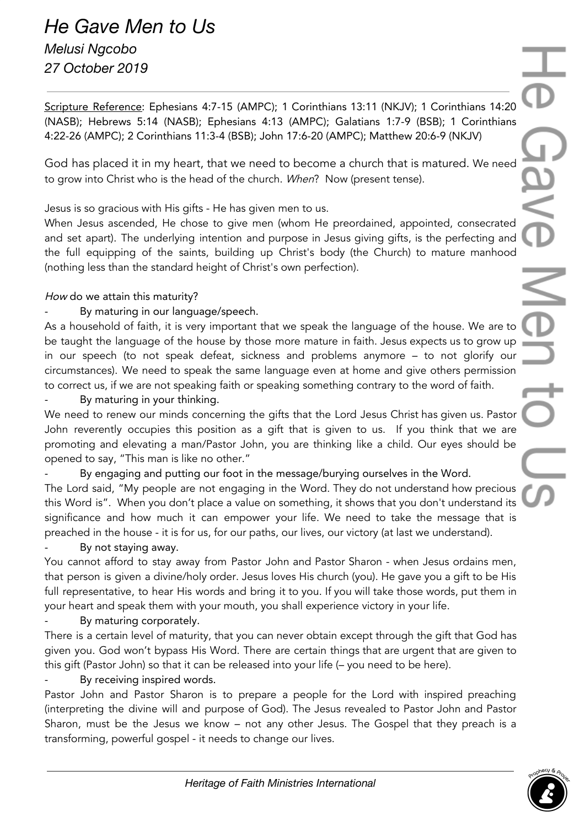# *He Gave Men to Us Melusi Ngcobo 27 October 2019*

Scripture Reference: Ephesians 4:7-15 (AMPC); 1 Corinthians 13:11 (NKJV); 1 Corinthians 14:20 (NASB); Hebrews 5:14 (NASB); Ephesians 4:13 (AMPC); Galatians 1:7-9 (BSB); 1 Corinthians 4:22-26 (AMPC); 2 Corinthians 11:3-4 (BSB); John 17:6-20 (AMPC); Matthew 20:6-9 (NKJV)

God has placed it in my heart, that we need to become a church that is matured. We need to grow into Christ who is the head of the church. When? Now (present tense).

Jesus is so gracious with His gifts - He has given men to us.

When Jesus ascended, He chose to give men (whom He preordained, appointed, consecrated and set apart). The underlying intention and purpose in Jesus giving gifts, is the perfecting and the full equipping of the saints, building up Christ's body (the Church) to mature manhood (nothing less than the standard height of Christ's own perfection).

### How do we attain this maturity?

By maturing in our language/speech.

As a household of faith, it is very important that we speak the language of the house. We are to be taught the language of the house by those more mature in faith. Jesus expects us to grow up in our speech (to not speak defeat, sickness and problems anymore – to not glorify our circumstances). We need to speak the same language even at home and give others permission to correct us, if we are not speaking faith or speaking something contrary to the word of faith.

By maturing in your thinking.

We need to renew our minds concerning the gifts that the Lord Jesus Christ has given us. Pastor John reverently occupies this position as a gift that is given to us. If you think that we are promoting and elevating a man/Pastor John, you are thinking like a child. Our eyes should be opened to say, "This man is like no other."

By engaging and putting our foot in the message/burying ourselves in the Word.

The Lord said, "My people are not engaging in the Word. They do not understand how precious this Word is". When you don't place a value on something, it shows that you don't understand its significance and how much it can empower your life. We need to take the message that is preached in the house - it is for us, for our paths, our lives, our victory (at last we understand).

#### By not staying away.

You cannot afford to stay away from Pastor John and Pastor Sharon - when Jesus ordains men, that person is given a divine/holy order. Jesus loves His church (you). He gave you a gift to be His full representative, to hear His words and bring it to you. If you will take those words, put them in your heart and speak them with your mouth, you shall experience victory in your life.

### By maturing corporately.

There is a certain level of maturity, that you can never obtain except through the gift that God has given you. God won't bypass His Word. There are certain things that are urgent that are given to this gift (Pastor John) so that it can be released into your life (– you need to be here).

### By receiving inspired words.

Pastor John and Pastor Sharon is to prepare a people for the Lord with inspired preaching (interpreting the divine will and purpose of God). The Jesus revealed to Pastor John and Pastor Sharon, must be the Jesus we know – not any other Jesus. The Gospel that they preach is a transforming, powerful gospel - it needs to change our lives.